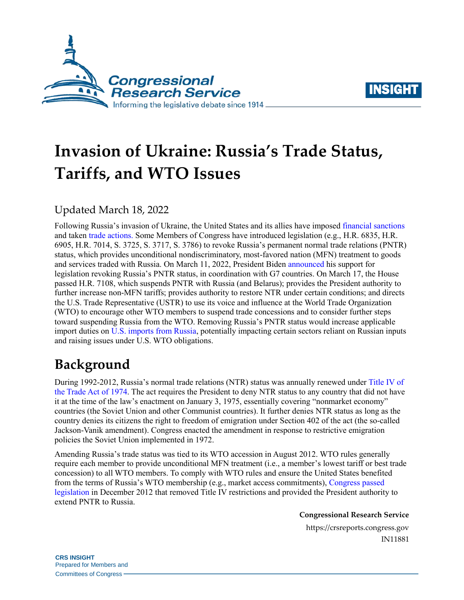



# **Invasion of Ukraine: Russia's Trade Status, Tariffs, and WTO Issues**

### Updated March 18, 2022

Following Russia's invasion of Ukraine, the United States and its allies have imposed [financial sanctions](https://crsreports.congress.gov/product/pdf/IN/IN11869) and taken [trade actions.](https://crsreports.congress.gov/product/pdf/IN/IN11871) Some Members of Congress have introduced legislation (e.g., [H.R. 6835,](http://www.congress.gov/cgi-lis/bdquery/z?d117:H.R.6835:) [H.R.](http://www.congress.gov/cgi-lis/bdquery/z?d117:H.R.6905:)  [6905,](http://www.congress.gov/cgi-lis/bdquery/z?d117:H.R.6905:) [H.R. 7014,](http://www.congress.gov/cgi-lis/bdquery/z?d117:H.R.7014:) [S. 3725,](http://www.congress.gov/cgi-lis/bdquery/z?d117:S.3725:) [S. 3717,](http://www.congress.gov/cgi-lis/bdquery/z?d117:S.3717:) [S. 3786\)](http://www.congress.gov/cgi-lis/bdquery/z?d117:S.3786:) to revoke Russia's permanent normal trade relations (PNTR) status, which provides unconditional nondiscriminatory, most-favored nation (MFN) treatment to goods and services traded with Russia. On March 11, 2022, President Biden [announced](https://www.whitehouse.gov/briefing-room/statements-releases/2022/03/11/fact-sheet-united-states-european-union-and-g7-to-announce-further-economic-costs-on-russia/) his support for legislation revoking Russia's PNTR status, in coordination with G7 countries. On March 17, the House passed [H.R. 7108,](http://www.congress.gov/cgi-lis/bdquery/z?d117:H.R.7108:) which suspends PNTR with Russia (and Belarus); provides the President authority to further increase non-MFN tariffs; provides authority to restore NTR under certain conditions; and directs the U.S. Trade Representative (USTR) to use its voice and influence at the World Trade Organization (WTO) to encourage other WTO members to suspend trade concessions and to consider further steps toward suspending Russia from the WTO. Removing Russia's PNTR status would increase applicable import duties on [U.S. imports from Russia,](https://www.census.gov/foreign-trade/balance/c4621.html) potentially impacting certain sectors reliant on Russian inputs and raising issues under U.S. WTO obligations.

# **Background**

During 1992-2012, Russia's normal trade relations (NTR) status was annually renewed under [Title IV of](https://uscode.house.gov/view.xhtml?req=(title:19%20section:2431%20edition:prelim)%20OR%20(granuleid:USC-prelim-title19-section2431)&f=treesort&edition=prelim&num=0&jumpTo=true)  [the Trade Act of 1974.](https://uscode.house.gov/view.xhtml?req=(title:19%20section:2431%20edition:prelim)%20OR%20(granuleid:USC-prelim-title19-section2431)&f=treesort&edition=prelim&num=0&jumpTo=true) The act requires the President to deny NTR status to any country that did not have it at the time of the law's enactment on January 3, 1975, essentially covering "nonmarket economy" countries (the Soviet Union and other Communist countries). It further denies NTR status as long as the country denies its citizens the right to freedom of emigration under Section 402 of the act (the so-called Jackson-Vanik amendment). Congress enacted the amendment in response to restrictive emigration policies the Soviet Union implemented in 1972.

Amending Russia's trade status was tied to its WTO accession in August 2012. WTO rules generally require each member to provide unconditional MFN treatment (i.e., a member's lowest tariff or best trade concession) to all WTO members. To comply with WTO rules and ensure the United States benefited from the terms of Russia's WTO membership (e.g., market access commitments), [Congress passed](https://www.govinfo.gov/content/pkg/PLAW-112publ208/pdf/PLAW-112publ208.pdf)  [legislation](https://www.govinfo.gov/content/pkg/PLAW-112publ208/pdf/PLAW-112publ208.pdf) in December 2012 that removed Title IV restrictions and provided the President authority to extend PNTR to Russia.

**Congressional Research Service**

https://crsreports.congress.gov IN11881

**CRS INSIGHT** Prepared for Members and Committees of Congress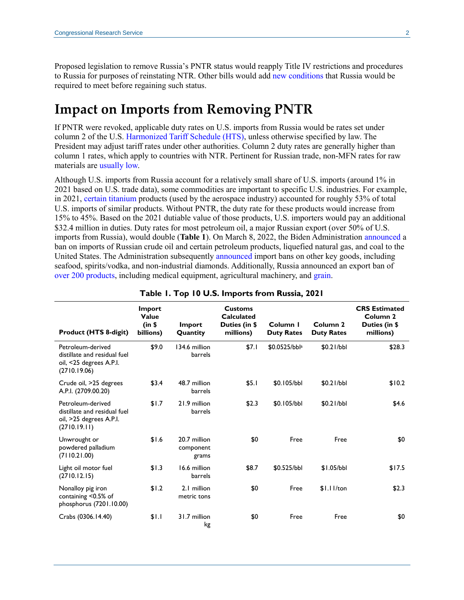Proposed legislation to remove Russia's PNTR status would reapply Title IV restrictions and procedures to Russia for purposes of reinstating NTR. Other bills would add [new conditions](https://www.congress.gov/bill/117th-congress/senate-bill/3725/text) that Russia would be required to meet before regaining such status.

# **Impact on Imports from Removing PNTR**

If PNTR were revoked, applicable duty rates on U.S. imports from Russia would be rates set under column 2 of the U.S. [Harmonized Tariff Schedule \(HTS\),](https://hts.usitc.gov/current) unless otherwise specified by law. The President may adjust tariff rates under other authorities. Column 2 duty rates are generally higher than column 1 rates, which apply to countries with NTR. Pertinent for Russian trade, non-MFN rates for raw materials are [usually low.](https://www.progressivepolicy.org/blogs/trade-fact-of-the-week-americas-non-mfn-tariffs-on-natural-resources-are-usually-low/)

Although U.S. imports from Russia account for a relatively small share of U.S. imports (around 1% in 2021 based on U.S. trade data), some commodities are important to specific U.S. industries. For example, in 2021, [certain titanium](https://hts.usitc.gov/?query=81089060) products (used by the aerospace industry) accounted for roughly 53% of total U.S. imports of similar products. Without PNTR, the duty rate for these products would increase from 15% to 45%. Based on the 2021 dutiable value of those products, U.S. importers would pay an additional \$32.4 million in duties. Duty rates for most petroleum oil, a major Russian export (over 50% of U.S. imports from Russia), would double (**[Table 1](#page-1-0)**). On March 8, 2022, the Biden Administration [announced](https://www.whitehouse.gov/briefing-room/statements-releases/2022/03/08/fact-sheet-united-states-bans-imports-of-russian-oil-liquefied-natural-gas-and-coal/) a ban on imports of Russian crude oil and certain petroleum products, liquefied natural gas, and coal to the United States. The Administration subsequently [announced](https://www.whitehouse.gov/briefing-room/statements-releases/2022/03/11/fact-sheet-united-states-european-union-and-g7-to-announce-further-economic-costs-on-russia/) import bans on other key goods, including seafood, spirits/vodka, and non-industrial diamonds. Additionally, Russia announced an export ban of [over 200 products,](https://www.bloomberg.com/news/articles/2022-03-10/russia-bans-export-of-200-products-after-suffering-sanctions-hit) including medical equipment, agricultural machinery, and [grain.](https://www.reuters.com/business/russia-may-suspend-grain-exports-until-june-30-interfax-2022-03-14/)

<span id="page-1-0"></span>

| <b>Product (HTS 8-digit)</b>                                                                 | <b>Import</b><br>Value<br>(in \$<br>billions) | Import<br>Quantity                 | <b>Customs</b><br><b>Calculated</b><br>Duties (in \$<br>millions) | Column I<br><b>Duty Rates</b> | Column 2<br><b>Duty Rates</b> | <b>CRS Estimated</b><br>Column <sub>2</sub><br>Duties (in \$<br>millions) |
|----------------------------------------------------------------------------------------------|-----------------------------------------------|------------------------------------|-------------------------------------------------------------------|-------------------------------|-------------------------------|---------------------------------------------------------------------------|
| Petroleum-derived<br>distillate and residual fuel<br>oil, <25 degrees A.P.I.<br>(2710.19.06) | \$9.0                                         | 134.6 million<br>barrels           | \$7.1                                                             | \$0.0525/bbla                 | \$0.21/bbl                    | \$28.3                                                                    |
| Crude oil, >25 degrees<br>A.P.I. (2709.00.20)                                                | \$3.4                                         | 48.7 million<br>barrels            | \$5.1                                                             | \$0.105/bbl                   | \$0.21/bbl                    | \$10.2                                                                    |
| Petroleum-derived<br>distillate and residual fuel<br>oil, >25 degrees A.P.I.<br>(2710.19.11) | \$1.7                                         | 21.9 million<br>barrels            | \$2.3                                                             | \$0.105/bbl                   | \$0.21/bbl                    | \$4.6                                                                     |
| Unwrought or<br>powdered palladium<br>(7110.21.00)                                           | \$1.6                                         | 20.7 million<br>component<br>grams | \$0                                                               | Free                          | Free                          | \$0                                                                       |
| Light oil motor fuel<br>(2710.12.15)                                                         | \$1.3                                         | 16.6 million<br>barrels            | \$8.7                                                             | \$0.525/bbl                   | \$1.05/bbl                    | \$17.5                                                                    |
| Nonalloy pig iron<br>containing <0.5% of<br>phosphorus (7201.10.00)                          | \$1.2                                         | 2.1 million<br>metric tons         | \$0                                                               | Free                          | $$1.11$ /ton                  | \$2.3                                                                     |
| Crabs (0306.14.40)                                                                           | \$1.1                                         | 31.7 million<br>kg                 | \$0                                                               | Free                          | Free                          | \$0                                                                       |

#### **Table 1. Top 10 U.S. Imports from Russia, 2021**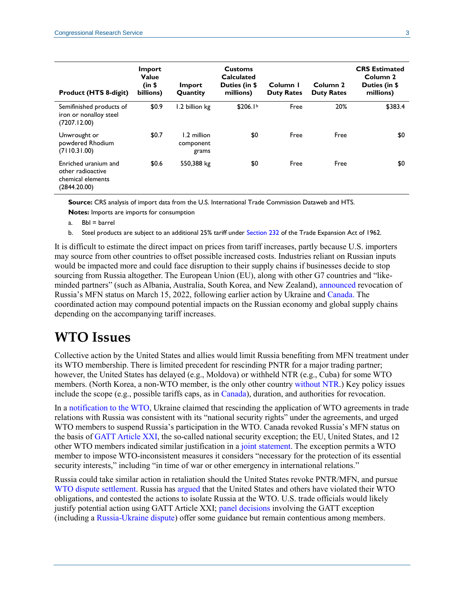| <b>Product (HTS 8-digit)</b>                                                   | Import<br>Value<br>(in \$<br>billions) | Import<br>Quantity                | <b>Customs</b><br>Calculated<br>Duties (in \$<br>millions) | Column I<br><b>Duty Rates</b> | Column <sub>2</sub><br><b>Duty Rates</b> | <b>CRS Estimated</b><br>Column 2<br>Duties (in \$<br>millions) |
|--------------------------------------------------------------------------------|----------------------------------------|-----------------------------------|------------------------------------------------------------|-------------------------------|------------------------------------------|----------------------------------------------------------------|
| Semifinished products of<br>iron or nonalloy steel<br>(7207.12.00)             | \$0.9                                  | 1.2 billion kg                    | \$206.1 <sup>b</sup>                                       | Free                          | 20%                                      | \$383.4                                                        |
| Unwrought or<br>powdered Rhodium<br>(7110.31.00)                               | \$0.7                                  | 1.2 million<br>component<br>grams | \$0                                                        | Free                          | Free                                     | \$0                                                            |
| Enriched uranium and<br>other radioactive<br>chemical elements<br>(2844.20.00) | \$0.6                                  | 550,388 kg                        | \$0                                                        | Free                          | Free                                     | \$0                                                            |

**Source:** CRS analysis of import data from the U.S. International Trade Commission Dataweb and HTS.

**Notes:** Imports are imports for consumption

<span id="page-2-0"></span>a. Bbl = barrel

b. Steel products are subject to an additional 25% tariff under [Section 232](https://crsreports.congress.gov/product/pdf/R/R45249) of the Trade Expansion Act of 1962.

<span id="page-2-1"></span>It is difficult to estimate the direct impact on prices from tariff increases, partly because U.S. importers may source from other countries to offset possible increased costs. Industries reliant on Russian inputs would be impacted more and could face disruption to their supply chains if businesses decide to stop sourcing from Russia altogether. The European Union (EU), along with other G7 countries and "likeminded partners" (such as Albania, Australia, South Korea, and New Zealand), [announced](https://ec.europa.eu/commission/commissioners/2019-2024/dombrovskis/announcements/statement-executive-vice-president-dombrovskis-eu-decision-0_en) revocation of Russia's MFN status on March 15, 2022, following earlier action by Ukraine and [Canada.](https://www.politico.com/news/2022/03/03/canada-strips-russia-belarus-trade-status-00013758) The coordinated action may compound potential impacts on the Russian economy and global supply chains depending on the accompanying tariff increases.

## **WTO Issues**

Collective action by the United States and allies would limit Russia benefiting from MFN treatment under its WTO membership. There is limited precedent for rescinding PNTR for a major trading partner; however, the United States has delayed (e.g., Moldova) or withheld NTR (e.g., Cuba) for some WTO members. (North Korea, a non-WTO member, is the only other country [without NTR.](https://help.cbp.gov/s/article/Article-310?language=en_US)) Key policy issues include the scope (e.g., possible tariffs caps, as in [Canada\)](https://www.canada.ca/en/department-finance/news/2022/03/canada-cuts-russia-and-belarus-from-most-favoured-nation-tariff-treatment.html), duration, and authorities for revocation.

In a [notification to the WTO,](https://twitter.com/UKRinUNOG/status/1499334312755437569) Ukraine claimed that rescinding the application of WTO agreements in trade relations with Russia was consistent with its "national security rights" under the agreements, and urged WTO members to suspend Russia's participation in the WTO. Canada revoked Russia's MFN status on the basis of [GATT Article XXI,](https://www.wto.org/english/docs_e/legal_e/gatt47_02_e.htm#articleXXI) the so-called national security exception; the EU, United States, and 12 other WTO members indicated similar justification in a [joint statement.](https://geneva.usmission.gov/2022/03/15/wto-members-joint-statement-on-ukraine/) The exception permits a WTO member to impose WTO-inconsistent measures it considers "necessary for the protection of its essential security interests," including "in time of war or other emergency in international relations."

Russia could take similar action in retaliation should the United States revoke PNTR/MFN, and pursue [WTO dispute settlement.](https://crsreports.congress.gov/product/pdf/IF/IF10645) Russia has [argued](https://docs.wto.org/dol2fe/Pages/SS/directdoc.aspx?filename=q:/WT/GC/245.pdf&Open=True) that the United States and others have violated their WTO obligations, and contested the actions to isolate Russia at the WTO. U.S. trade officials would likely justify potential action using GATT Article XXI; [panel decisions](https://crsreports.congress.gov/product/pdf/LSB/LSB10223) involving the GATT exception (including a [Russia-Ukraine dispute\)](https://www.csis.org/analysis/wtos-first-ruling-national-security-what-does-it-mean-united-states) offer some guidance but remain contentious among members.